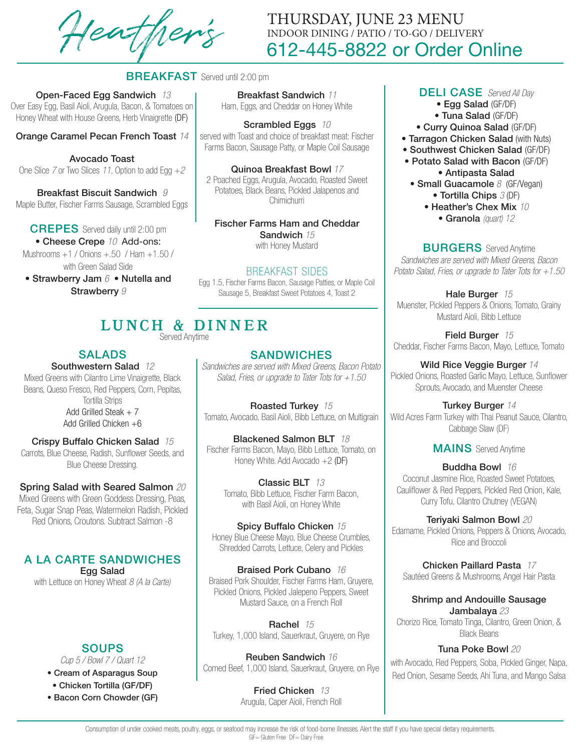Heather's

# 612-445-8822 or Order Online THURSDAY, JUNE 23 MENU INDOOR DINING / PATIO / TO-GO / DELIVERY

# **BREAKFAST** Served until 2:00 pm

Open-Faced Egg Sandwich *13* Over Easy Egg, Basil Aioli, Arugula, Bacon, & Tomatoes on Honey Wheat with House Greens, Herb Vinaigrette (DF)

Orange Caramel Pecan French Toast *14* 

Avocado Toast One Slice *7* or Two Slices *11*, Option to add Egg +*2*

Breakfast Biscuit Sandwich *9* Maple Butter, Fischer Farms Sausage, Scrambled Eggs

#### CREPES Served daily until 2:00 pm

• Cheese Crepe *10* Add-ons: Mushrooms +1 / Onions +.50 / Ham +1.50 / with Green Salad Side

• Strawberry Jam *6* • Nutella and Strawberry *9*

Breakfast Sandwich *11* Ham, Eggs, and Cheddar on Honey White

Scrambled Eggs *10*  served with Toast and choice of breakfast meat: Fischer Farms Bacon, Sausage Patty, or Maple Coil Sausage

Quinoa Breakfast Bowl *17* 2 Poached Eggs, Arugula, Avocado, Roasted Sweet Potatoes, Black Beans, Pickled Jalapenos and Chimichurri

Fischer Farms Ham and Cheddar Sandwich *15* with Honey Mustard

#### BREAKFAST SIDES

Egg 1.5, Fischer Farms Bacon, Sausage Patties, or Maple Coil Sausage 5, Breakfast Sweet Potatoes 4, Toast 2

# LUNCH & DINNER

Served Anytime

# SALADS

Southwestern Salad *12* Mixed Greens with Cilantro Lime Vinaigrette, Black Beans, Queso Fresco, Red Peppers, Corn, Pepitas, Tortilla Strips Add Grilled Steak  $+ 7$ Add Grilled Chicken +6

# Crispy Buffalo Chicken Salad *15*

Carrots, Blue Cheese, Radish, Sunflower Seeds, and Blue Cheese Dressing.

# Spring Salad with Seared Salmon *20*

Mixed Greens with Green Goddess Dressing, Peas, Feta, Sugar Snap Peas, Watermelon Radish, Pickled Red Onions, Croutons. Subtract Salmon -8

# A LA CARTE SANDWICHES

Egg Salad with Lettuce on Honey Wheat *8 (A la Carte)*

# **SOUPS**

*Cup 5 / Bowl 7 / Quart 12*

- Cream of Asparagus Soup
- Chicken Tortilla (GF/DF)
- Bacon Corn Chowder (GF)

# **SANDWICHES**

*Sandwiches are served with Mixed Greens, Bacon Potato Salad, Fries, or upgrade to Tater Tots for +1.50*

Roasted Turkey *15* Tomato, Avocado, Basil Aioli, Bibb Lettuce, on Multigrain

Blackened Salmon BLT *18*  Fischer Farms Bacon, Mayo, Bibb Lettuce, Tomato, on Honey White. Add Avocado +2 (DF)

Classic BLT *13* Tomato, Bibb Lettuce, Fischer Farm Bacon, with Basil Aioli, on Honey White

Spicy Buffalo Chicken *15* Honey Blue Cheese Mayo, Blue Cheese Crumbles, Shredded Carrots, Lettuce, Celery and Pickles

Braised Pork Cubano *16* Braised Pork Shoulder, Fischer Farms Ham, Gruyere, Pickled Onions, Pickled Jalepeno Peppers, Sweet Mustard Sauce, on a French Roll

Rachel *15* Turkey, 1,000 Island, Sauerkraut, Gruyere, on Rye

Reuben Sandwich *16* Corned Beef, 1,000 Island, Sauerkraut, Gruyere, on Rye

> Fried Chicken *13* Arugula, Caper Aioli, French Roll

#### DELI CASE *Served All Day*

- Egg Salad (GF/DF)
- Tuna Salad (GF/DF)
- Curry Quinoa Salad (GF/DF)
- Tarragon Chicken Salad (with Nuts)
- Southwest Chicken Salad (GF/DF)
- Potato Salad with Bacon (GF/DF) • Antipasta Salad
- Small Guacamole 8 (GF/Vegan) • Tortilla Chips *3* (DF)
	- Heather's Chex Mix *10* • Granola *(quart) 12*

#### **BURGERS** Served Anytime

*Sandwiches are served with Mixed Greens, Bacon Potato Salad, Fries, or upgrade to Tater Tots for +1.50*

Hale Burger *15* Muenster, Pickled Peppers & Onions, Tomato, Grainy Mustard Aioli, Bibb Lettuce

Field Burger *15* Cheddar, Fischer Farms Bacon, Mayo, Lettuce, Tomato

Wild Rice Veggie Burger *14* Pickled Onions, Roasted Garlic Mayo, Lettuce, Sunflower Sprouts, Avocado, and Muenster Cheese

Turkey Burger *14* Wild Acres Farm Turkey with Thai Peanut Sauce, Cilantro, Cabbage Slaw (DF)

# MAINS Served Anytime

Buddha Bowl *16* Coconut Jasmine Rice, Roasted Sweet Potatoes, Cauliflower & Red Peppers, Pickled Red Onion, Kale, Curry Tofu, Cilantro Chutney (VEGAN)

Teriyaki Salmon Bowl *20* Edamame, Pickled Onions, Peppers & Onions, Avocado, Rice and Broccoli

Chicken Paillard Pasta *17* Sautéed Greens & Mushrooms, Angel Hair Pasta

Shrimp and Andouille Sausage Jambalaya *23* Chorizo Rice, Tomato Tinga, Cilantro, Green Onion, &

Black Beans

# Tuna Poke Bowl *20*

with Avocado, Red Peppers, Soba, Pickled Ginger, Napa, Red Onion, Sesame Seeds, Ahi Tuna, and Mango Salsa

Consumption of under cooked meats, poultry, eggs, or seafood may increase the risk of food-borne illnesses. Alert the staff if you have special dietary requirements. GF= Gluten Free DF= Dairy Free